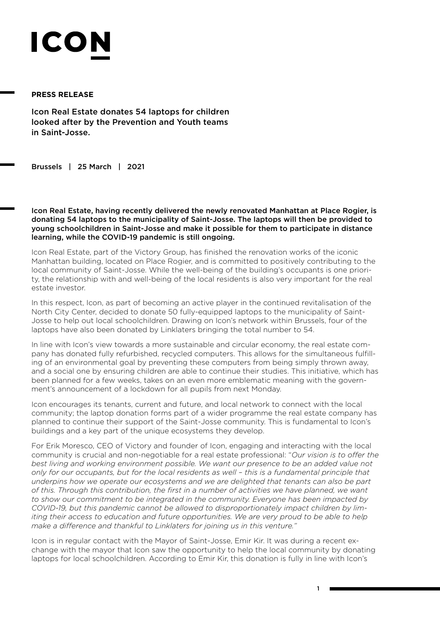## ICO

## **PRESS RELEASE**

Icon Real Estate donates 54 laptops for children looked after by the Prevention and Youth teams in Saint-Josse.

Brussels | 25 March | 2021

Icon Real Estate, having recently delivered the newly renovated Manhattan at Place Rogier, is donating 54 laptops to the municipality of Saint-Josse. The laptops will then be provided to young schoolchildren in Saint-Josse and make it possible for them to participate in distance learning, while the COVID-19 pandemic is still ongoing.

Icon Real Estate, part of the Victory Group, has finished the renovation works of the iconic Manhattan building, located on Place Rogier, and is committed to positively contributing to the local community of Saint-Josse. While the well-being of the building's occupants is one priority, the relationship with and well-being of the local residents is also very important for the real estate investor.

In this respect, Icon, as part of becoming an active player in the continued revitalisation of the North City Center, decided to donate 50 fully-equipped laptops to the municipality of Saint-Josse to help out local schoolchildren. Drawing on Icon's network within Brussels, four of the laptops have also been donated by Linklaters bringing the total number to 54.

In line with Icon's view towards a more sustainable and circular economy, the real estate company has donated fully refurbished, recycled computers. This allows for the simultaneous fulfilling of an environmental goal by preventing these computers from being simply thrown away, and a social one by ensuring children are able to continue their studies. This initiative, which has been planned for a few weeks, takes on an even more emblematic meaning with the government's announcement of a lockdown for all pupils from next Monday.

Icon encourages its tenants, current and future, and local network to connect with the local community; the laptop donation forms part of a wider programme the real estate company has planned to continue their support of the Saint-Josse community. This is fundamental to Icon's buildings and a key part of the unique ecosystems they develop.

For Erik Moresco, CEO of Victory and founder of Icon, engaging and interacting with the local community is crucial and non-negotiable for a real estate professional: "*Our vision is to offer the best living and working environment possible. We want our presence to be an added value not only for our occupants, but for the local residents as well – this is a fundamental principle that underpins how we operate our ecosystems and we are delighted that tenants can also be part of this. Through this contribution, the first in a number of activities we have planned, we want to show our commitment to be integrated in the community. Everyone has been impacted by COVID-19, but this pandemic cannot be allowed to disproportionately impact children by limiting their access to education and future opportunities. We are very proud to be able to help make a difference and thankful to Linklaters for joining us in this venture."*

Icon is in regular contact with the Mayor of Saint-Josse, Emir Kir. It was during a recent exchange with the mayor that Icon saw the opportunity to help the local community by donating laptops for local schoolchildren. According to Emir Kir, this donation is fully in line with Icon's